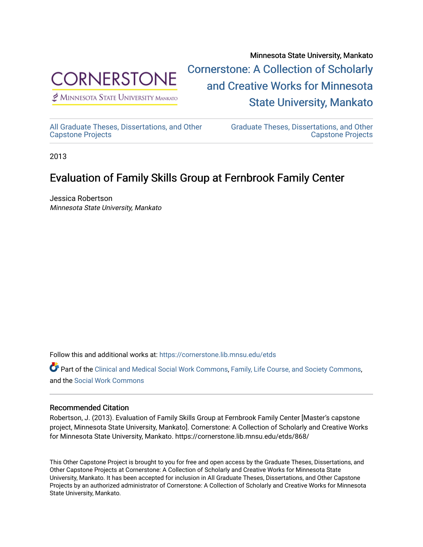

 $<sup>2</sup>$  Minnesota State University Mankato</sup>

Minnesota State University, Mankato [Cornerstone: A Collection of Scholarly](https://cornerstone.lib.mnsu.edu/)  [and Creative Works for Minnesota](https://cornerstone.lib.mnsu.edu/)  [State University, Mankato](https://cornerstone.lib.mnsu.edu/) 

[All Graduate Theses, Dissertations, and Other](https://cornerstone.lib.mnsu.edu/etds)  [Capstone Projects](https://cornerstone.lib.mnsu.edu/etds) 

[Graduate Theses, Dissertations, and Other](https://cornerstone.lib.mnsu.edu/theses_dissertations-capstone)  [Capstone Projects](https://cornerstone.lib.mnsu.edu/theses_dissertations-capstone) 

2013

#### Evaluation of Family Skills Group at Fernbrook Family Center

Jessica Robertson Minnesota State University, Mankato

Follow this and additional works at: [https://cornerstone.lib.mnsu.edu/etds](https://cornerstone.lib.mnsu.edu/etds?utm_source=cornerstone.lib.mnsu.edu%2Fetds%2F868&utm_medium=PDF&utm_campaign=PDFCoverPages) 

Part of the [Clinical and Medical Social Work Commons,](http://network.bepress.com/hgg/discipline/712?utm_source=cornerstone.lib.mnsu.edu%2Fetds%2F868&utm_medium=PDF&utm_campaign=PDFCoverPages) [Family, Life Course, and Society Commons,](http://network.bepress.com/hgg/discipline/419?utm_source=cornerstone.lib.mnsu.edu%2Fetds%2F868&utm_medium=PDF&utm_campaign=PDFCoverPages) and the [Social Work Commons](http://network.bepress.com/hgg/discipline/713?utm_source=cornerstone.lib.mnsu.edu%2Fetds%2F868&utm_medium=PDF&utm_campaign=PDFCoverPages) 

#### Recommended Citation

Robertson, J. (2013). Evaluation of Family Skills Group at Fernbrook Family Center [Master's capstone project, Minnesota State University, Mankato]. Cornerstone: A Collection of Scholarly and Creative Works for Minnesota State University, Mankato. https://cornerstone.lib.mnsu.edu/etds/868/

This Other Capstone Project is brought to you for free and open access by the Graduate Theses, Dissertations, and Other Capstone Projects at Cornerstone: A Collection of Scholarly and Creative Works for Minnesota State University, Mankato. It has been accepted for inclusion in All Graduate Theses, Dissertations, and Other Capstone Projects by an authorized administrator of Cornerstone: A Collection of Scholarly and Creative Works for Minnesota State University, Mankato.